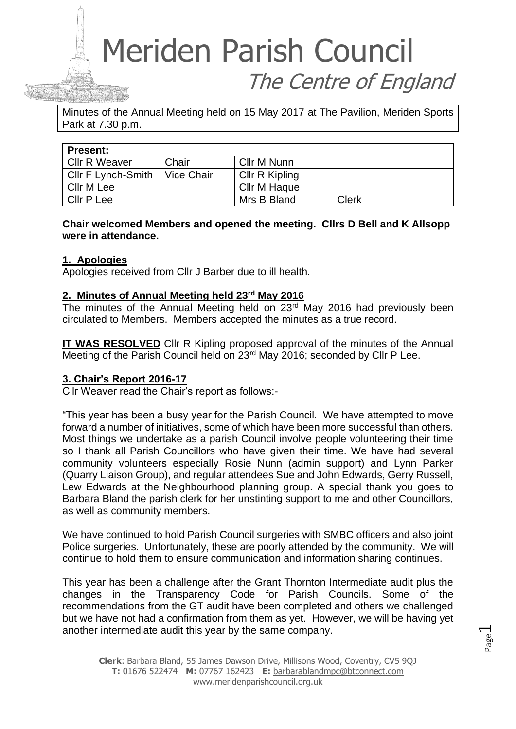# Meriden Parish Council The Centre of England

Minutes of the Annual Meeting held on 15 May 2017 at The Pavilion, Meriden Sports Park at 7.30 p.m.

| <b>Present:</b>      |            |                |              |  |  |
|----------------------|------------|----------------|--------------|--|--|
| <b>Cllr R Weaver</b> | Chair      | Cllr M Nunn    |              |  |  |
| Cllr F Lynch-Smith   | Vice Chair | Cllr R Kipling |              |  |  |
| Cllr M Lee           |            | Cllr M Haque   |              |  |  |
| Cllr P Lee           |            | Mrs B Bland    | <b>Clerk</b> |  |  |

**Chair welcomed Members and opened the meeting. Cllrs D Bell and K Allsopp were in attendance.** 

### **1. Apologies**

Apologies received from Cllr J Barber due to ill health.

### **2. Minutes of Annual Meeting held 23rd May 2016**

The minutes of the Annual Meeting held on 23<sup>rd</sup> May 2016 had previously been circulated to Members. Members accepted the minutes as a true record.

**IT WAS RESOLVED** Cllr R Kipling proposed approval of the minutes of the Annual Meeting of the Parish Council held on 23rd May 2016; seconded by Cllr P Lee.

### **3. Chair's Report 2016-17**

Cllr Weaver read the Chair's report as follows:-

"This year has been a busy year for the Parish Council. We have attempted to move forward a number of initiatives, some of which have been more successful than others. Most things we undertake as a parish Council involve people volunteering their time so I thank all Parish Councillors who have given their time. We have had several community volunteers especially Rosie Nunn (admin support) and Lynn Parker (Quarry Liaison Group), and regular attendees Sue and John Edwards, Gerry Russell, Lew Edwards at the Neighbourhood planning group. A special thank you goes to Barbara Bland the parish clerk for her unstinting support to me and other Councillors, as well as community members.

We have continued to hold Parish Council surgeries with SMBC officers and also joint Police surgeries. Unfortunately, these are poorly attended by the community. We will continue to hold them to ensure communication and information sharing continues.

This year has been a challenge after the Grant Thornton Intermediate audit plus the changes in the Transparency Code for Parish Councils. Some of the recommendations from the GT audit have been completed and others we challenged but we have not had a confirmation from them as yet. However, we will be having yet another intermediate audit this year by the same company.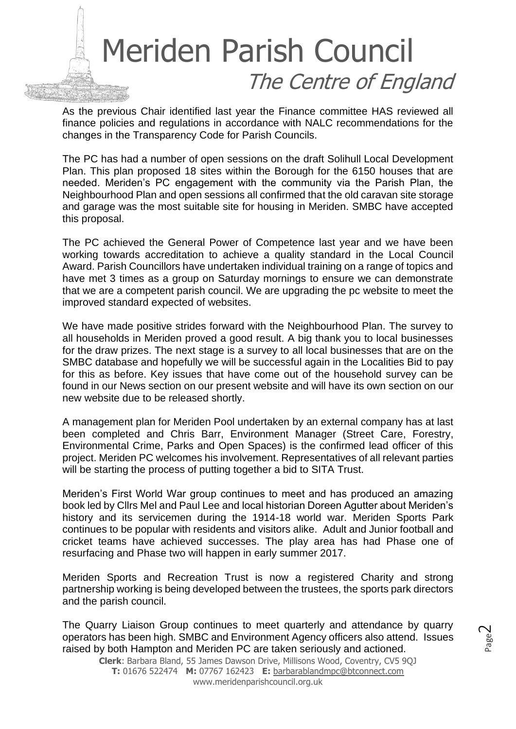

As the previous Chair identified last year the Finance committee HAS reviewed all finance policies and regulations in accordance with NALC recommendations for the changes in the Transparency Code for Parish Councils.

The PC has had a number of open sessions on the draft Solihull Local Development Plan. This plan proposed 18 sites within the Borough for the 6150 houses that are needed. Meriden's PC engagement with the community via the Parish Plan, the Neighbourhood Plan and open sessions all confirmed that the old caravan site storage and garage was the most suitable site for housing in Meriden. SMBC have accepted this proposal.

The PC achieved the General Power of Competence last year and we have been working towards accreditation to achieve a quality standard in the Local Council Award. Parish Councillors have undertaken individual training on a range of topics and have met 3 times as a group on Saturday mornings to ensure we can demonstrate that we are a competent parish council. We are upgrading the pc website to meet the improved standard expected of websites.

We have made positive strides forward with the Neighbourhood Plan. The survey to all households in Meriden proved a good result. A big thank you to local businesses for the draw prizes. The next stage is a survey to all local businesses that are on the SMBC database and hopefully we will be successful again in the Localities Bid to pay for this as before. Key issues that have come out of the household survey can be found in our News section on our present website and will have its own section on our new website due to be released shortly.

A management plan for Meriden Pool undertaken by an external company has at last been completed and Chris Barr, Environment Manager (Street Care, Forestry, Environmental Crime, Parks and Open Spaces) is the confirmed lead officer of this project. Meriden PC welcomes his involvement. Representatives of all relevant parties will be starting the process of putting together a bid to SITA Trust.

Meriden's First World War group continues to meet and has produced an amazing book led by Cllrs Mel and Paul Lee and local historian Doreen Agutter about Meriden's history and its servicemen during the 1914-18 world war. Meriden Sports Park continues to be popular with residents and visitors alike. Adult and Junior football and cricket teams have achieved successes. The play area has had Phase one of resurfacing and Phase two will happen in early summer 2017.

Meriden Sports and Recreation Trust is now a registered Charity and strong partnership working is being developed between the trustees, the sports park directors and the parish council.

The Quarry Liaison Group continues to meet quarterly and attendance by quarry operators has been high. SMBC and Environment Agency officers also attend. Issues raised by both Hampton and Meriden PC are taken seriously and actioned.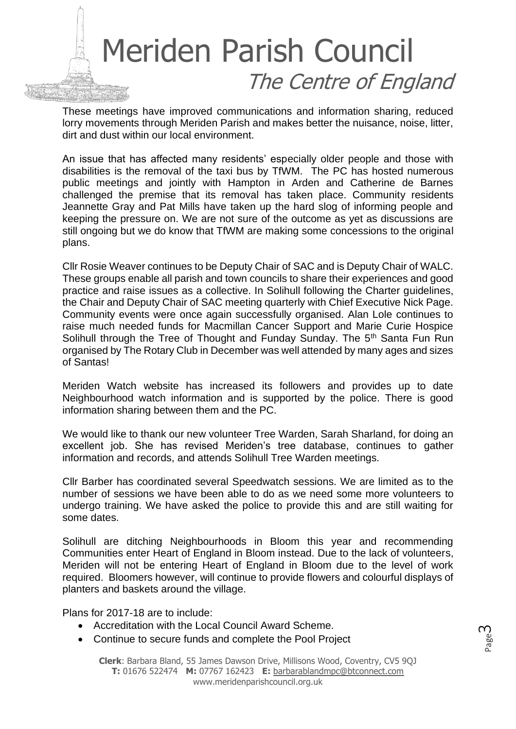

These meetings have improved communications and information sharing, reduced lorry movements through Meriden Parish and makes better the nuisance, noise, litter, dirt and dust within our local environment.

An issue that has affected many residents' especially older people and those with disabilities is the removal of the taxi bus by TfWM. The PC has hosted numerous public meetings and jointly with Hampton in Arden and Catherine de Barnes challenged the premise that its removal has taken place. Community residents Jeannette Gray and Pat Mills have taken up the hard slog of informing people and keeping the pressure on. We are not sure of the outcome as yet as discussions are still ongoing but we do know that TfWM are making some concessions to the original plans.

Cllr Rosie Weaver continues to be Deputy Chair of SAC and is Deputy Chair of WALC. These groups enable all parish and town councils to share their experiences and good practice and raise issues as a collective. In Solihull following the Charter guidelines, the Chair and Deputy Chair of SAC meeting quarterly with Chief Executive Nick Page. Community events were once again successfully organised. Alan Lole continues to raise much needed funds for Macmillan Cancer Support and Marie Curie Hospice Solihull through the Tree of Thought and Funday Sunday. The 5<sup>th</sup> Santa Fun Run organised by The Rotary Club in December was well attended by many ages and sizes of Santas!

Meriden Watch website has increased its followers and provides up to date Neighbourhood watch information and is supported by the police. There is good information sharing between them and the PC.

We would like to thank our new volunteer Tree Warden, Sarah Sharland, for doing an excellent job. She has revised Meriden's tree database, continues to gather information and records, and attends Solihull Tree Warden meetings.

Cllr Barber has coordinated several Speedwatch sessions. We are limited as to the number of sessions we have been able to do as we need some more volunteers to undergo training. We have asked the police to provide this and are still waiting for some dates.

Solihull are ditching Neighbourhoods in Bloom this year and recommending Communities enter Heart of England in Bloom instead. Due to the lack of volunteers, Meriden will not be entering Heart of England in Bloom due to the level of work required. Bloomers however, will continue to provide flowers and colourful displays of planters and baskets around the village.

Plans for 2017-18 are to include:

- Accreditation with the Local Council Award Scheme.
- Continue to secure funds and complete the Pool Project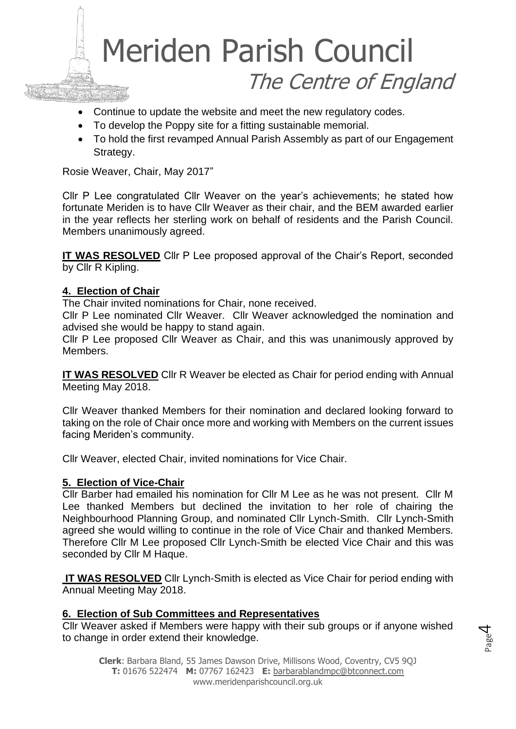

- Continue to update the website and meet the new regulatory codes.
- To develop the Poppy site for a fitting sustainable memorial.
- To hold the first revamped Annual Parish Assembly as part of our Engagement Strategy.

Rosie Weaver, Chair, May 2017"

Cllr P Lee congratulated Cllr Weaver on the year's achievements; he stated how fortunate Meriden is to have Cllr Weaver as their chair, and the BEM awarded earlier in the year reflects her sterling work on behalf of residents and the Parish Council. Members unanimously agreed.

**IT WAS RESOLVED** Cllr P Lee proposed approval of the Chair's Report, seconded by Cllr R Kipling.

### **4. Election of Chair**

The Chair invited nominations for Chair, none received.

Cllr P Lee nominated Cllr Weaver. Cllr Weaver acknowledged the nomination and advised she would be happy to stand again.

Cllr P Lee proposed Cllr Weaver as Chair, and this was unanimously approved by Members.

**IT WAS RESOLVED** Cllr R Weaver be elected as Chair for period ending with Annual Meeting May 2018.

Cllr Weaver thanked Members for their nomination and declared looking forward to taking on the role of Chair once more and working with Members on the current issues facing Meriden's community.

Cllr Weaver, elected Chair, invited nominations for Vice Chair.

### **5. Election of Vice-Chair**

Cllr Barber had emailed his nomination for Cllr M Lee as he was not present. Cllr M Lee thanked Members but declined the invitation to her role of chairing the Neighbourhood Planning Group, and nominated Cllr Lynch-Smith. Cllr Lynch-Smith agreed she would willing to continue in the role of Vice Chair and thanked Members. Therefore Cllr M Lee proposed Cllr Lynch-Smith be elected Vice Chair and this was seconded by Cllr M Haque.

**IT WAS RESOLVED** Cllr Lynch-Smith is elected as Vice Chair for period ending with Annual Meeting May 2018.

### **6. Election of Sub Committees and Representatives**

Cllr Weaver asked if Members were happy with their sub groups or if anyone wished to change in order extend their knowledge.

Page  $\overline{\mathcal{A}}$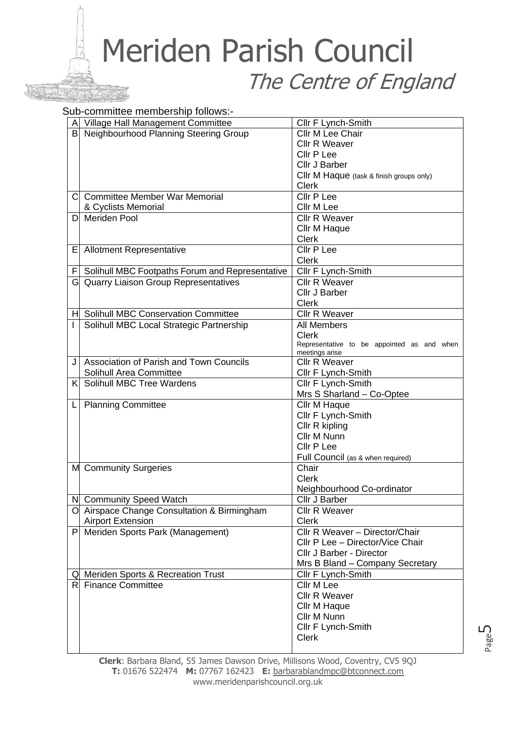## Meriden Parish Council The Centre of England

#### Sub-committee membership follows:-

|   | A Village Hall Management Committee             | Cllr F Lynch-Smith                         |
|---|-------------------------------------------------|--------------------------------------------|
|   | B Neighbourhood Planning Steering Group         | Cllr M Lee Chair                           |
|   |                                                 | <b>Cllr R Weaver</b>                       |
|   |                                                 | Cllr P Lee                                 |
|   |                                                 | Cllr J Barber                              |
|   |                                                 | Cllr M Haque (task & finish groups only)   |
|   |                                                 | <b>Clerk</b>                               |
| С | <b>Committee Member War Memorial</b>            | Cllr P Lee                                 |
|   | & Cyclists Memorial                             | Cllr M Lee                                 |
| D | <b>Meriden Pool</b>                             | <b>Cllr R Weaver</b>                       |
|   |                                                 | Cllr M Haque                               |
|   |                                                 | <b>Clerk</b>                               |
| Е | <b>Allotment Representative</b>                 | Cllr P Lee                                 |
|   |                                                 | <b>Clerk</b>                               |
| F | Solihull MBC Footpaths Forum and Representative | Cllr F Lynch-Smith                         |
|   | <b>Quarry Liaison Group Representatives</b>     | <b>Cllr R Weaver</b>                       |
|   |                                                 | Cllr J Barber                              |
|   |                                                 | Clerk                                      |
|   | H Solihull MBC Conservation Committee           | <b>Cllr R Weaver</b>                       |
| L | Solihull MBC Local Strategic Partnership        | <b>All Members</b>                         |
|   |                                                 | <b>Clerk</b>                               |
|   |                                                 | Representative to be appointed as and when |
|   |                                                 | meetings arise                             |
| J | <b>Association of Parish and Town Councils</b>  | <b>Cllr R Weaver</b>                       |
|   | Solihull Area Committee                         | Cllr F Lynch-Smith                         |
| K | Solihull MBC Tree Wardens                       | Cllr F Lynch-Smith                         |
|   |                                                 | Mrs S Sharland - Co-Optee                  |
| L | <b>Planning Committee</b>                       | Cllr M Haque                               |
|   |                                                 | Cllr F Lynch-Smith                         |
|   |                                                 | Cllr R kipling                             |
|   |                                                 | Cllr M Nunn                                |
|   |                                                 | Cllr P Lee                                 |
|   |                                                 | Full Council (as & when required)<br>Chair |
|   | M Community Surgeries                           | <b>Clerk</b>                               |
|   |                                                 | Neighbourhood Co-ordinator                 |
|   | N Community Speed Watch                         | Cllr J Barber                              |
|   | Airspace Change Consultation & Birmingham       | <b>Cllr R Weaver</b>                       |
| O | <b>Airport Extension</b>                        | <b>Clerk</b>                               |
|   | P Meriden Sports Park (Management)              | Cllr R Weaver - Director/Chair             |
|   |                                                 | Cllr P Lee - Director/Vice Chair           |
|   |                                                 | Cllr J Barber - Director                   |
|   |                                                 | Mrs B Bland - Company Secretary            |
|   | Q Meriden Sports & Recreation Trust             | Cllr F Lynch-Smith                         |
|   | R Finance Committee                             | Cllr M Lee                                 |
|   |                                                 | Cllr R Weaver                              |
|   |                                                 | Cllr M Haque                               |
|   |                                                 | Cllr M Nunn                                |
|   |                                                 | Cllr F Lynch-Smith                         |
|   |                                                 | <b>Clerk</b>                               |
|   |                                                 |                                            |

**Clerk**: Barbara Bland, 55 James Dawson Drive, Millisons Wood, Coventry, CV5 9QJ **T:** 01676 522474 **M:** 07767 162423 **E:** [barbarablandmpc@btconnect.com](mailto:barbarablandmpc@btconnect.com) www.meridenparishcouncil.org.uk

Page ഥ